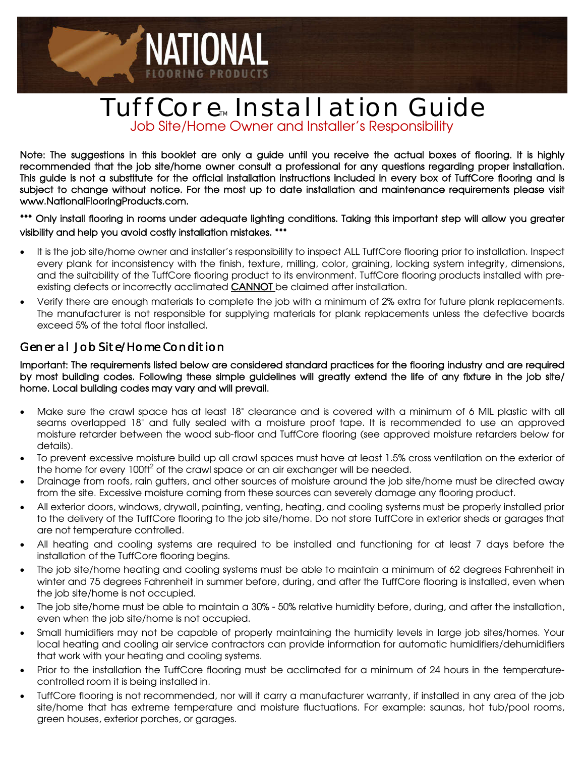# TuffCore<sub>m</sub> Install ation Guide Job Site/Home Owner and Installer's Responsibility

NATIONAL

Note: The suggestions in this booklet are only a guide until you receive the actual boxes of flooring. It is highly recommended that the job site/home owner consult a professional for any questions regarding proper installation. This guide is not a substitute for the official installation instructions included in every box of TuffCore flooring and is subject to change without notice. For the most up to date installation and maintenance requirements please visit www.NationalFlooringProducts.com.

\*\*\* Only install flooring in rooms under adequate lighting conditions. Taking this important step will allow you greater visibility and help you avoid costly installation mistakes. \*\*\*

- It is the job site/home owner and installer's responsibility to inspect ALL TuffCore flooring prior to installation. Inspect every plank for inconsistency with the finish, texture, milling, color, graining, locking system integrity, dimensions, and the suitability of the TuffCore flooring product to its environment. TuffCore flooring products installed with preexisting defects or incorrectly acclimated CANNOT be claimed after installation.
- Verify there are enough materials to complete the job with a minimum of 2% extra for future plank replacements. The manufacturer is not responsible for supplying materials for plank replacements unless the defective boards exceed 5% of the total floor installed.

#### General Job Site/Home Condition

Important: The requirements listed below are considered standard practices for the flooring industry and are required by most building codes. Following these simple guidelines will greatly extend the life of any fixture in the job site/ home. Local building codes may vary and will prevail.

- Make sure the crawl space has at least 18" clearance and is covered with a minimum of 6 MIL plastic with all seams overlapped 18" and fully sealed with a moisture proof tape. It is recommended to use an approved moisture retarder between the wood sub-floor and TuffCore flooring (see approved moisture retarders below for details).
- To prevent excessive moisture build up all crawl spaces must have at least 1.5% cross ventilation on the exterior of the home for every  $100<sup>2</sup>$  of the crawl space or an air exchanger will be needed.
- Drainage from roofs, rain gutters, and other sources of moisture around the job site/home must be directed away from the site. Excessive moisture coming from these sources can severely damage any flooring product.
- All exterior doors, windows, drywall, painting, venting, heating, and cooling systems must be properly installed prior to the delivery of the TuffCore flooring to the job site/home. Do not store TuffCore in exterior sheds or garages that are not temperature controlled.
- All heating and cooling systems are required to be installed and functioning for at least 7 days before the installation of the TuffCore flooring begins.
- The job site/home heating and cooling systems must be able to maintain a minimum of 62 degrees Fahrenheit in winter and 75 degrees Fahrenheit in summer before, during, and after the TuffCore flooring is installed, even when the job site/home is not occupied.
- The job site/home must be able to maintain a 30% 50% relative humidity before, during, and after the installation, even when the job site/home is not occupied.
- Small humidifiers may not be capable of properly maintaining the humidity levels in large job sites/homes. Your local heating and cooling air service contractors can provide information for automatic humidifiers/dehumidifiers that work with your heating and cooling systems.
- Prior to the installation the TuffCore flooring must be acclimated for a minimum of 24 hours in the temperaturecontrolled room it is being installed in.
- TuffCore flooring is not recommended, nor will it carry a manufacturer warranty, if installed in any area of the job site/home that has extreme temperature and moisture fluctuations. For example: saunas, hot tub/pool rooms, green houses, exterior porches, or garages.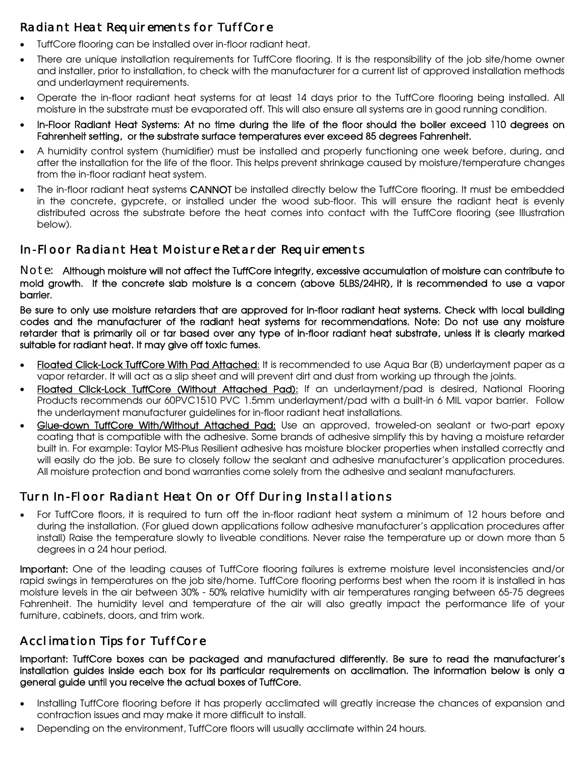# Radiant Heat Requirements for TuffCore

- TuffCore flooring can be installed over in-floor radiant heat.
- There are unique installation requirements for TuffCore flooring. It is the responsibility of the job site/home owner and installer, prior to installation, to check with the manufacturer for a current list of approved installation methods and underlayment requirements.
- Operate the in-floor radiant heat systems for at least 14 days prior to the TuffCore flooring being installed. All moisture in the substrate must be evaporated off. This will also ensure all systems are in good running condition.
- In-Floor Radiant Heat Systems: At no time during the life of the floor should the boiler exceed 110 degrees on Fahrenheit setting, or the substrate surface temperatures ever exceed 85 degrees Fahrenheit.
- A humidity control system (humidifier) must be installed and properly functioning one week before, during, and after the installation for the life of the floor. This helps prevent shrinkage caused by moisture/temperature changes from the in-floor radiant heat system.
- The in-floor radiant heat systems CANNOT be installed directly below the TuffCore flooring. It must be embedded in the concrete, gypcrete, or installed under the wood sub-floor. This will ensure the radiant heat is evenly distributed across the substrate before the heat comes into contact with the TuffCore flooring (see Illustration below).

#### In-Floor Radiant Heat Moisture Retarder Requirements

Note: Although moisture will not affect the TuffCore integrity, excessive accumulation of moisture can contribute to mold growth. If the concrete slab moisture is a concern (above 5LBS/24HR), it is recommended to use a vapor barrier.

Be sure to only use moisture retarders that are approved for in-floor radiant heat systems. Check with local building codes and the manufacturer of the radiant heat systems for recommendations. Note: Do not use any moisture retarder that is primarily oil or tar based over any type of in-floor radiant heat substrate, unless it is clearly marked suitable for radiant heat. It may give off toxic fumes.

- Floated Click-Lock TuffCore With Pad Attached: It is recommended to use Aqua Bar (B) underlayment paper as a vapor retarder. It will act as a slip sheet and will prevent dirt and dust from working up through the joints.
- Floated Click-Lock TuffCore (Without Attached Pad): If an underlayment/pad is desired, National Flooring Products recommends our 60PVC1510 PVC 1.5mm underlayment/pad with a built-in 6 MIL vapor barrier. Follow the underlayment manufacturer guidelines for in-floor radiant heat installations.
- Glue-down TuffCore With/Without Attached Pad: Use an approved, troweled-on sealant or two-part epoxy coating that is compatible with the adhesive. Some brands of adhesive simplify this by having a moisture retarder built in. For example: Taylor MS-Plus Resilient adhesive has moisture blocker properties when installed correctly and will easily do the job. Be sure to closely follow the sealant and adhesive manufacturer's application procedures. All moisture protection and bond warranties come solely from the adhesive and sealant manufacturers.

## Turn In-Floor Radiant Heat On or Off During Installations

 For TuffCore floors, it is required to turn off the in-floor radiant heat system a minimum of 12 hours before and during the installation. (For glued down applications follow adhesive manufacturer's application procedures after install) Raise the temperature slowly to liveable conditions. Never raise the temperature up or down more than 5 degrees in a 24 hour period.

Important: One of the leading causes of TuffCore flooring failures is extreme moisture level inconsistencies and/or rapid swings in temperatures on the job site/home. TuffCore flooring performs best when the room it is installed in has moisture levels in the air between 30% - 50% relative humidity with air temperatures ranging between 65-75 degrees Fahrenheit. The humidity level and temperature of the air will also greatly impact the performance life of your furniture, cabinets, doors, and trim work.

## Acclimation Tips for TuffCore

Important: TuffCore boxes can be packaged and manufactured differently. Be sure to read the manufacturer's installation guides inside each box for its particular requirements on acclimation. The information below is only a general guide until you receive the actual boxes of TuffCore.

- Installing TuffCore flooring before it has properly acclimated will greatly increase the chances of expansion and contraction issues and may make it more difficult to install.
- Depending on the environment, TuffCore floors will usually acclimate within 24 hours.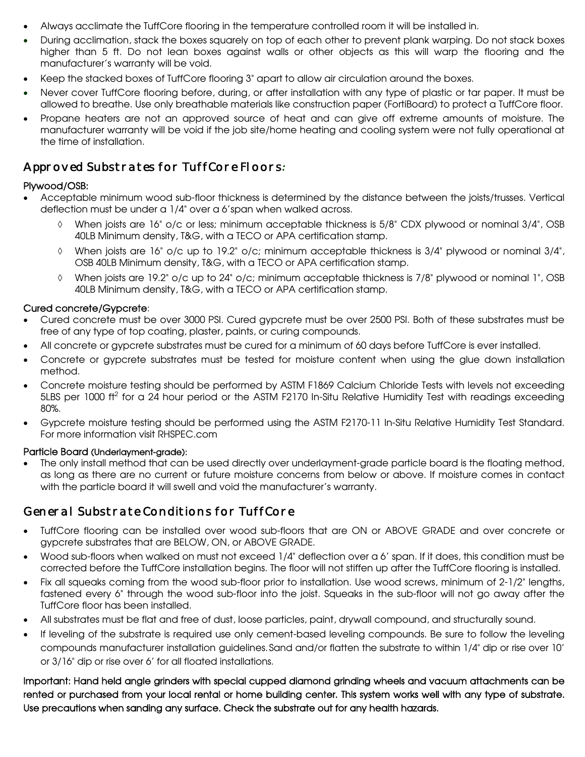- Always acclimate the TuffCore flooring in the temperature controlled room it will be installed in.
- During acclimation, stack the boxes squarely on top of each other to prevent plank warping. Do not stack boxes higher than 5 ft. Do not lean boxes against walls or other objects as this will warp the flooring and the manufacturer's warranty will be void.
- Keep the stacked boxes of TuffCore flooring 3" apart to allow air circulation around the boxes.
- Never cover TuffCore flooring before, during, or after installation with any type of plastic or tar paper. It must be allowed to breathe. Use only breathable materials like construction paper (FortiBoard) to protect a TuffCore floor.
- Propane heaters are not an approved source of heat and can give off extreme amounts of moisture. The manufacturer warranty will be void if the job site/home heating and cooling system were not fully operational at the time of installation.

## Approved Substrates for TuffCore Floors*:*

#### Plywood/OSB:

- Acceptable minimum wood sub-floor thickness is determined by the distance between the joists/trusses. Vertical deflection must be under a 1/4" over a 6'span when walked across.
	- When joists are 16" o/c or less; minimum acceptable thickness is 5/8" CDX plywood or nominal 3/4", OSB 40LB Minimum density, T&G, with a TECO or APA certification stamp.
	- $\Diamond$  When joists are 16" o/c up to 19.2" o/c; minimum acceptable thickness is 3/4" plywood or nominal 3/4", OSB 40LB Minimum density, T&G, with a TECO or APA certification stamp.
	- When joists are 19.2" o/c up to 24" o/c; minimum acceptable thickness is 7/8" plywood or nominal 1", OSB 40LB Minimum density, T&G, with a TECO or APA certification stamp.

#### Cured concrete/Gypcrete:

- Cured concrete must be over 3000 PSI. Cured gypcrete must be over 2500 PSI. Both of these substrates must be free of any type of top coating, plaster, paints, or curing compounds.
- All concrete or gypcrete substrates must be cured for a minimum of 60 days before TuffCore is ever installed.
- Concrete or gypcrete substrates must be tested for moisture content when using the glue down installation method.
- Concrete moisture testing should be performed by ASTM F1869 Calcium Chloride Tests with levels not exceeding 5LBS per 1000 ft<sup>2</sup> for a 24 hour period or the ASTM F2170 In-Situ Relative Humidity Test with readings exceeding 80%.
- Gypcrete moisture testing should be performed using the ASTM F2170-11 In-Situ Relative Humidity Test Standard. For more information visit RHSPEC.com

#### Particle Board (Underlayment-grade):

The only install method that can be used directly over underlayment-grade particle board is the floating method, as long as there are no current or future moisture concerns from below or above. If moisture comes in contact with the particle board it will swell and void the manufacturer's warranty.

## General Substrate Conditions for TuffCore

- TuffCore flooring can be installed over wood sub-floors that are ON or ABOVE GRADE and over concrete or gypcrete substrates that are BELOW, ON, or ABOVE GRADE.
- Wood sub-floors when walked on must not exceed 1/4" deflection over a 6' span. If it does, this condition must be corrected before the TuffCore installation begins. The floor will not stiffen up after the TuffCore flooring is installed.
- Fix all squeaks coming from the wood sub-floor prior to installation. Use wood screws, minimum of 2-1/2" lengths, fastened every 6" through the wood sub-floor into the joist. Squeaks in the sub-floor will not go away after the TuffCore floor has been installed.
- All substrates must be flat and free of dust, loose particles, paint, drywall compound, and structurally sound.
- If leveling of the substrate is required use only cement-based leveling compounds. Be sure to follow the leveling compounds manufacturer installation guidelines.Sand and/or flatten the substrate to within 1/4" dip or rise over 10' or 3/16" dip or rise over 6' for all floated installations.

Important: Hand held angle grinders with special cupped diamond grinding wheels and vacuum attachments can be rented or purchased from your local rental or home building center. This system works well with any type of substrate. Use precautions when sanding any surface. Check the substrate out for any health hazards.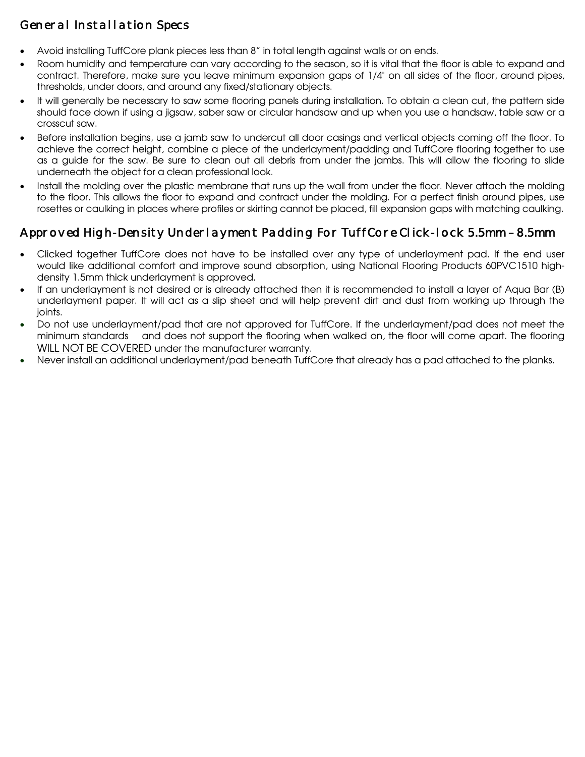# General Installation Specs

- Avoid installing TuffCore plank pieces less than 8" in total length against walls or on ends.
- Room humidity and temperature can vary according to the season, so it is vital that the floor is able to expand and contract. Therefore, make sure you leave minimum expansion gaps of 1/4" on all sides of the floor, around pipes, thresholds, under doors, and around any fixed/stationary objects.
- It will generally be necessary to saw some flooring panels during installation. To obtain a clean cut, the pattern side should face down if using a jigsaw, saber saw or circular handsaw and up when you use a handsaw, table saw or a crosscut saw.
- Before installation begins, use a jamb saw to undercut all door casings and vertical objects coming off the floor. To achieve the correct height, combine a piece of the underlayment/padding and TuffCore flooring together to use as a guide for the saw. Be sure to clean out all debris from under the jambs. This will allow the flooring to slide underneath the object for a clean professional look.
- Install the molding over the plastic membrane that runs up the wall from under the floor. Never attach the molding to the floor. This allows the floor to expand and contract under the molding. For a perfect finish around pipes, use rosettes or caulking in places where profiles or skirting cannot be placed, fill expansion gaps with matching caulking.

# Approved High-Density Underlayment Padding For TuffCore Click-lock 5.5mm – 8.5mm

- Clicked together TuffCore does not have to be installed over any type of underlayment pad. If the end user would like additional comfort and improve sound absorption, using National Flooring Products 60PVC1510 highdensity 1.5mm thick underlayment is approved.
- If an underlayment is not desired or is already attached then it is recommended to install a layer of Aqua Bar (B) underlayment paper. It will act as a slip sheet and will help prevent dirt and dust from working up through the joints.
- Do not use underlayment/pad that are not approved for TuffCore. If the underlayment/pad does not meet the minimum standards and does not support the flooring when walked on, the floor will come apart. The flooring WILL NOT BE COVERED under the manufacturer warranty.
- Never install an additional underlayment/pad beneath TuffCore that already has a pad attached to the planks.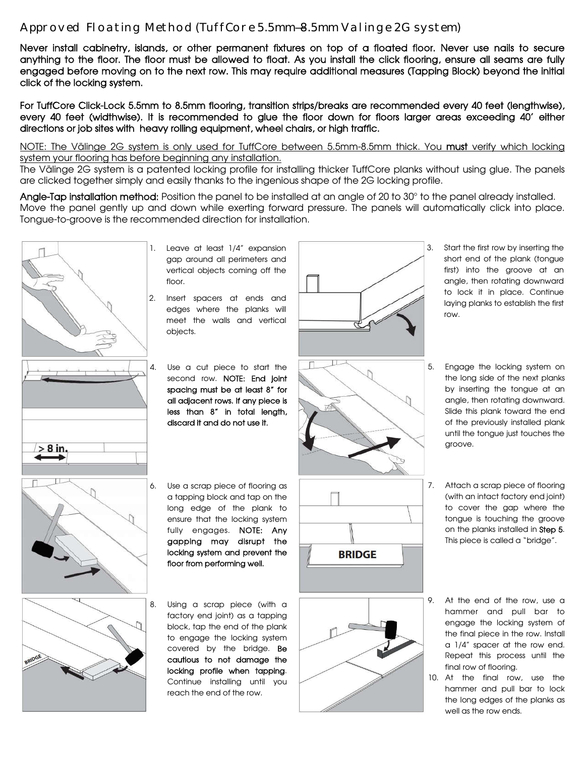#### Approved Floating Method (TuffCore 5.5mm—8.5mm Valinge 2G system)

Never install cabinetry, islands, or other permanent fixtures on top of a floated floor. Never use nails to secure anything to the floor. The floor must be allowed to float. As you install the click flooring, ensure all seams are fully engaged before moving on to the next row. This may require additional measures (Tapping Block) beyond the initial click of the locking system.

For TuffCore Click-Lock 5.5mm to 8.5mm flooring, transition strips/breaks are recommended every 40 feet (lengthwise), every 40 feet (widthwise). It is recommended to glue the floor down for floors larger areas exceeding 40' either directions or job sites with heavy rolling equipment, wheel chairs, or high traffic.

The Välinge 2G system is a patented locking profile for installing thicker TuffCore planks without using glue. The panels are clicked together simply and easily thanks to the ingenious shape of the 2G locking profile.

Angle-Tap installation method: Position the panel to be installed at an angle of 20 to 30° to the panel already installed. Move the panel gently up and down while exerting forward pressure. The panels will automatically click into place. Tongue-to-groove is the recommended direction for installation.



- 1. Leave at least 1/4" expansion gap around all perimeters and vertical objects coming off the floor.
- 2. Insert spacers at ends and edges where the planks will meet the walls and vertical objects.
- 4. Use a cut piece to start the second row. NOTE: End joint spacing must be at least 8" for all adjacent rows. If any piece is less than 8" in total length, discard it and do not use it.
- 6. Use a scrap piece of flooring as a tapping block and tap on the long edge of the plank to ensure that the locking system fully engages. NOTE: Any gapping may disrupt the locking system and prevent the floor from performing well.
- 8. Using a scrap piece (with a factory end joint) as a tapping block, tap the end of the plank to engage the locking system covered by the bridge. Be cautious to not damage the locking profile when tapping. Continue installing until you reach the end of the row.





- 3. Start the first row by inserting the short end of the plank (tongue first) into the groove at an angle, then rotating downward to lock it in place. Continue laying planks to establish the first row.
- 5. Engage the locking system on the long side of the next planks by inserting the tongue at an angle, then rotating downward. Slide this plank toward the end of the previously installed plank until the tongue just touches the groove.
- 7. Attach a scrap piece of flooring (with an intact factory end joint) to cover the gap where the tongue is touching the groove on the planks installed in Step 5. This piece is called a "bridge".
- 9. At the end of the row, use a hammer and pull bar to engage the locking system of the final piece in the row. Install a 1/4" spacer at the row end. Repeat this process until the final row of flooring.
- 10. At the final row, use the hammer and pull bar to lock the long edges of the planks as well as the row ends.

NOTE: The Välinge 2G system is only used for TuffCore between 5.5mm-8.5mm thick. You must verify which locking system your flooring has before beginning any installation.